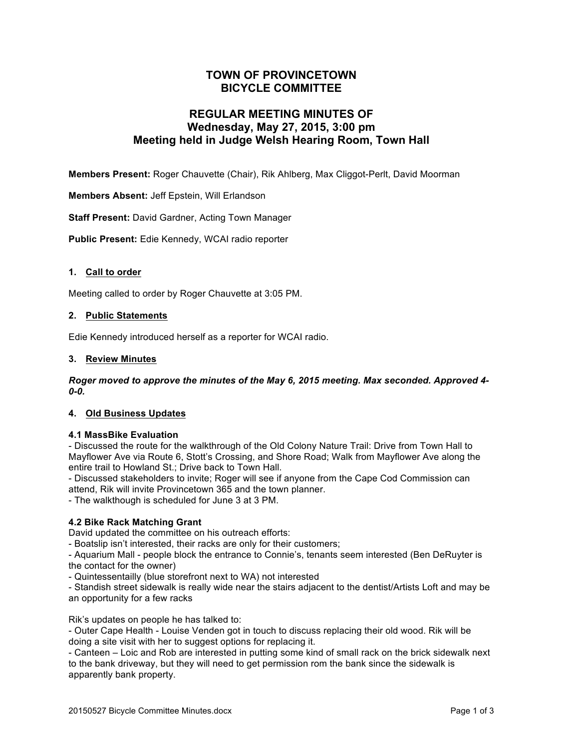# **TOWN OF PROVINCETOWN BICYCLE COMMITTEE**

# **REGULAR MEETING MINUTES OF Wednesday, May 27, 2015, 3:00 pm Meeting held in Judge Welsh Hearing Room, Town Hall**

**Members Present:** Roger Chauvette (Chair), Rik Ahlberg, Max Cliggot-Perlt, David Moorman

**Members Absent:** Jeff Epstein, Will Erlandson

**Staff Present:** David Gardner, Acting Town Manager

**Public Present:** Edie Kennedy, WCAI radio reporter

# **1. Call to order**

Meeting called to order by Roger Chauvette at 3:05 PM.

# **2. Public Statements**

Edie Kennedy introduced herself as a reporter for WCAI radio.

#### **3. Review Minutes**

*Roger moved to approve the minutes of the May 6, 2015 meeting. Max seconded. Approved 4- 0-0.*

# **4. Old Business Updates**

#### **4.1 MassBike Evaluation**

- Discussed the route for the walkthrough of the Old Colony Nature Trail: Drive from Town Hall to Mayflower Ave via Route 6, Stott's Crossing, and Shore Road; Walk from Mayflower Ave along the entire trail to Howland St.; Drive back to Town Hall.

- Discussed stakeholders to invite; Roger will see if anyone from the Cape Cod Commission can attend, Rik will invite Provincetown 365 and the town planner.

- The walkthough is scheduled for June 3 at 3 PM.

# **4.2 Bike Rack Matching Grant**

David updated the committee on his outreach efforts:

- Boatslip isn't interested, their racks are only for their customers;

- Aquarium Mall - people block the entrance to Connie's, tenants seem interested (Ben DeRuyter is the contact for the owner)

- Quintessentailly (blue storefront next to WA) not interested

- Standish street sidewalk is really wide near the stairs adjacent to the dentist/Artists Loft and may be an opportunity for a few racks

Rik's updates on people he has talked to:

- Outer Cape Health - Louise Venden got in touch to discuss replacing their old wood. Rik will be doing a site visit with her to suggest options for replacing it.

- Canteen – Loic and Rob are interested in putting some kind of small rack on the brick sidewalk next to the bank driveway, but they will need to get permission rom the bank since the sidewalk is apparently bank property.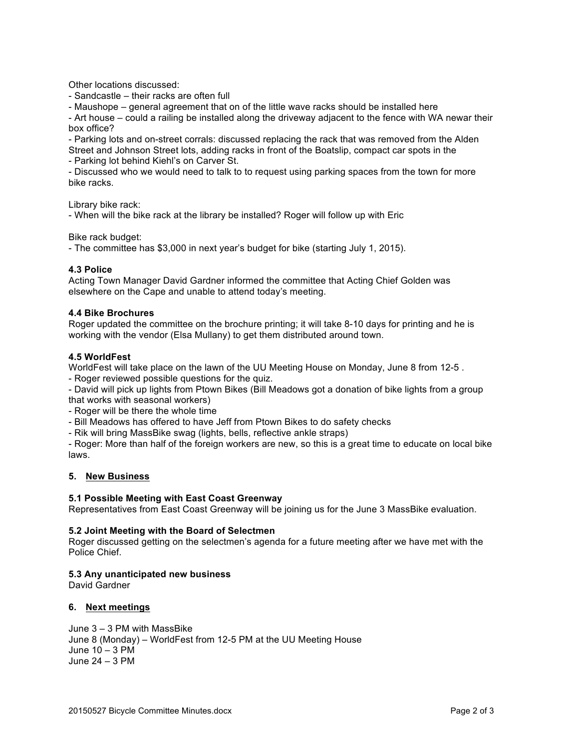Other locations discussed:

- Sandcastle – their racks are often full

- Maushope – general agreement that on of the little wave racks should be installed here

- Art house – could a railing be installed along the driveway adjacent to the fence with WA newar their box office?

- Parking lots and on-street corrals: discussed replacing the rack that was removed from the Alden Street and Johnson Street lots, adding racks in front of the Boatslip, compact car spots in the

- Parking lot behind Kiehl's on Carver St.

- Discussed who we would need to talk to to request using parking spaces from the town for more bike racks.

Library bike rack:

- When will the bike rack at the library be installed? Roger will follow up with Eric

Bike rack budget:

- The committee has \$3,000 in next year's budget for bike (starting July 1, 2015).

#### **4.3 Police**

Acting Town Manager David Gardner informed the committee that Acting Chief Golden was elsewhere on the Cape and unable to attend today's meeting.

#### **4.4 Bike Brochures**

Roger updated the committee on the brochure printing; it will take 8-10 days for printing and he is working with the vendor (Elsa Mullany) to get them distributed around town.

#### **4.5 WorldFest**

WorldFest will take place on the lawn of the UU Meeting House on Monday, June 8 from 12-5 .

- Roger reviewed possible questions for the quiz.

- David will pick up lights from Ptown Bikes (Bill Meadows got a donation of bike lights from a group that works with seasonal workers)

- Roger will be there the whole time

- Bill Meadows has offered to have Jeff from Ptown Bikes to do safety checks

- Rik will bring MassBike swag (lights, bells, reflective ankle straps)

- Roger: More than half of the foreign workers are new, so this is a great time to educate on local bike laws.

#### **5. New Business**

#### **5.1 Possible Meeting with East Coast Greenway**

Representatives from East Coast Greenway will be joining us for the June 3 MassBike evaluation.

#### **5.2 Joint Meeting with the Board of Selectmen**

Roger discussed getting on the selectmen's agenda for a future meeting after we have met with the Police Chief.

#### **5.3 Any unanticipated new business**

David Gardner

# **6. Next meetings**

June 3 – 3 PM with MassBike June 8 (Monday) – WorldFest from 12-5 PM at the UU Meeting House June 10 – 3 PM June 24 – 3 PM